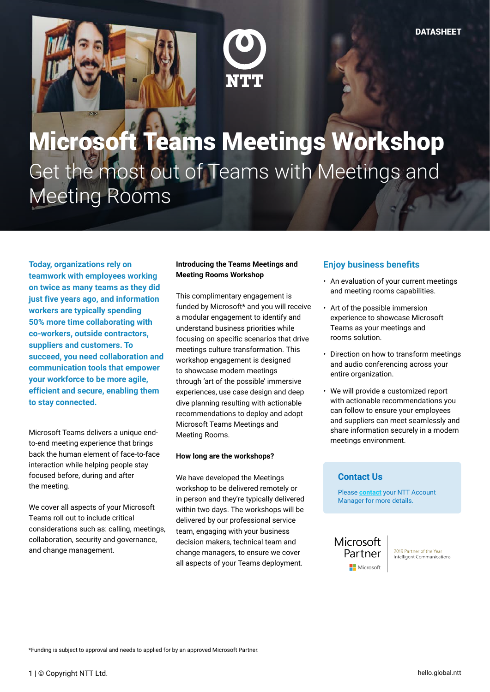



# Microsoft Teams Meetings Workshop Get the most out of Teams with Meetings and Meeting Rooms

**Today, organizations rely on teamwork with employees working on twice as many teams as they did just five years ago, and information workers are typically spending 50% more time collaborating with co-workers, outside contractors, suppliers and customers. To succeed, you need collaboration and communication tools that empower your workforce to be more agile, efficient and secure, enabling them to stay connected.** 

Microsoft Teams delivers a unique endto-end meeting experience that brings back the human element of face-to-face interaction while helping people stay focused before, during and after the meeting.

We cover all aspects of your Microsoft Teams roll out to include critical considerations such as: calling, meetings, collaboration, security and governance, and change management.

#### **Introducing the Teams Meetings and Meeting Rooms Workshop**

This complimentary engagement is funded by Microsoft\* and you will receive a modular engagement to identify and understand business priorities while focusing on specific scenarios that drive meetings culture transformation. This workshop engagement is designed to showcase modern meetings through 'art of the possible' immersive experiences, use case design and deep dive planning resulting with actionable recommendations to deploy and adopt Microsoft Teams Meetings and Meeting Rooms.

#### **How long are the workshops?**

We have developed the Meetings workshop to be delivered remotely or in person and they're typically delivered within two days. The workshops will be delivered by our professional service team, engaging with your business decision makers, technical team and change managers, to ensure we cover all aspects of your Teams deployment.

## **Enjoy business benefits**

- An evaluation of your current meetings and meeting rooms capabilities.
- Art of the possible immersion experience to showcase Microsoft Teams as your meetings and rooms solution.
- Direction on how to transform meetings and audio conferencing across your entire organization.
- We will provide a customized report with actionable recommendations you can follow to ensure your employees and suppliers can meet seamlessly and share information securely in a modern meetings environment.

### **Contact Us**

Please **[contact](https://hello.global.ntt/en-us/landing-page/accelerate-collaboration-and-communication-with-microsoft#form)** your NTT Account Manager for more details.



2019 Partner of the Year Intelligent Communications

\*Funding is subject to approval and needs to applied for by an approved Microsoft Partner.